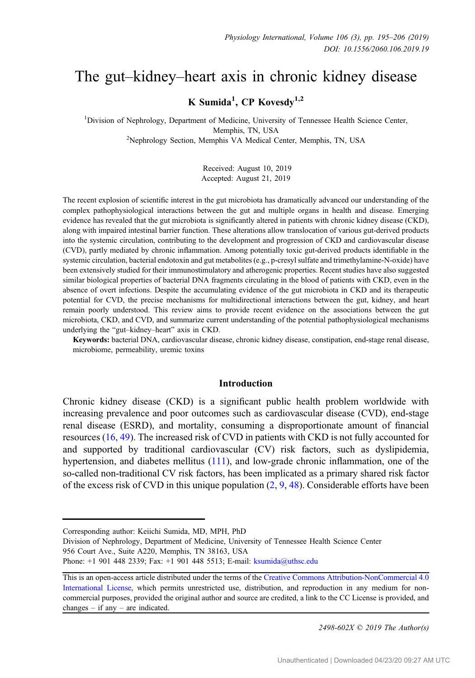# The gut–kidney–heart axis in chronic kidney disease

# K Sumida<sup>1</sup>, CP Kovesdy<sup>1,2</sup>

<sup>1</sup>Division of Nephrology, Department of Medicine, University of Tennessee Health Science Center, Memphis, TN, USA<br><sup>2</sup>Nephrology Section, Memphis VA Medical Center, Memphis, TN, USA<sup>2</sup>

> Received: August 10, 2019 Accepted: August 21, 2019

The recent explosion of scientific interest in the gut microbiota has dramatically advanced our understanding of the complex pathophysiological interactions between the gut and multiple organs in health and disease. Emerging evidence has revealed that the gut microbiota is significantly altered in patients with chronic kidney disease (CKD), along with impaired intestinal barrier function. These alterations allow translocation of various gut-derived products into the systemic circulation, contributing to the development and progression of CKD and cardiovascular disease (CVD), partly mediated by chronic inflammation. Among potentially toxic gut-derived products identifiable in the systemic circulation, bacterial endotoxin and gut metabolites (e.g., p-cresyl sulfate and trimethylamine-N-oxide) have been extensively studied for their immunostimulatory and atherogenic properties. Recent studies have also suggested similar biological properties of bacterial DNA fragments circulating in the blood of patients with CKD, even in the absence of overt infections. Despite the accumulating evidence of the gut microbiota in CKD and its therapeutic potential for CVD, the precise mechanisms for multidirectional interactions between the gut, kidney, and heart remain poorly understood. This review aims to provide recent evidence on the associations between the gut microbiota, CKD, and CVD, and summarize current understanding of the potential pathophysiological mechanisms underlying the "gut–kidney–heart" axis in CKD.

Keywords: bacterial DNA, cardiovascular disease, chronic kidney disease, constipation, end-stage renal disease, microbiome, permeability, uremic toxins

#### Introduction

Chronic kidney disease (CKD) is a significant public health problem worldwide with increasing prevalence and poor outcomes such as cardiovascular disease (CVD), end-stage renal disease (ESRD), and mortality, consuming a disproportionate amount of financial resources ([16,](#page-7-0) [49](#page-9-0)). The increased risk of CVD in patients with CKD is not fully accounted for and supported by traditional cardiovascular (CV) risk factors, such as dyslipidemia, hypertension, and diabetes mellitus ([111\)](#page-11-0), and low-grade chronic inflammation, one of the so-called non-traditional CV risk factors, has been implicated as a primary shared risk factor of the excess risk of CVD in this unique population  $(2, 9, 48)$  $(2, 9, 48)$  $(2, 9, 48)$  $(2, 9, 48)$  $(2, 9, 48)$ . Considerable efforts have been

Corresponding author: Keiichi Sumida, MD, MPH, PhD

Division of Nephrology, Department of Medicine, University of Tennessee Health Science Center 956 Court Ave., Suite A220, Memphis, TN 38163, USA

Phone: +1 901 448 2339; Fax: +1 901 448 5513; E-mail: [ksumida@uthsc.edu](mailto:ksumida@uthsc.edu)

2498-602X © 2019 The Author(s)

This is an open-access article distributed under the terms of the [Creative Commons Attribution-NonCommercial 4.0](http://creativecommons.org/licenses/by-nc/4.0/) [International License,](http://creativecommons.org/licenses/by-nc/4.0/) which permits unrestricted use, distribution, and reproduction in any medium for noncommercial purposes, provided the original author and source are credited, a link to the CC License is provided, and changes – if any – are indicated.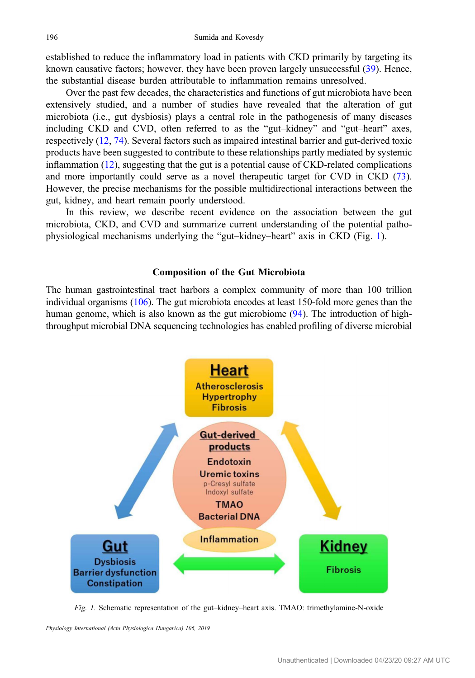established to reduce the inflammatory load in patients with CKD primarily by targeting its known causative factors; however, they have been proven largely unsuccessful ([39\)](#page-8-0). Hence, the substantial disease burden attributable to inflammation remains unresolved.

Over the past few decades, the characteristics and functions of gut microbiota have been extensively studied, and a number of studies have revealed that the alteration of gut microbiota (i.e., gut dysbiosis) plays a central role in the pathogenesis of many diseases including CKD and CVD, often referred to as the "gut–kidney" and "gut–heart" axes, respectively [\(12](#page-7-0), [74](#page-10-0)). Several factors such as impaired intestinal barrier and gut-derived toxic products have been suggested to contribute to these relationships partly mediated by systemic inflammation ([12\)](#page-7-0), suggesting that the gut is a potential cause of CKD-related complications and more importantly could serve as a novel therapeutic target for CVD in CKD [\(73](#page-10-0)). However, the precise mechanisms for the possible multidirectional interactions between the gut, kidney, and heart remain poorly understood.

In this review, we describe recent evidence on the association between the gut microbiota, CKD, and CVD and summarize current understanding of the potential pathophysiological mechanisms underlying the "gut–kidney–heart" axis in CKD (Fig. 1).

## Composition of the Gut Microbiota

The human gastrointestinal tract harbors a complex community of more than 100 trillion individual organisms ([106](#page-11-0)). The gut microbiota encodes at least 150-fold more genes than the human genome, which is also known as the gut microbiome [\(94](#page-11-0)). The introduction of highthroughput microbial DNA sequencing technologies has enabled profiling of diverse microbial



Fig. 1. Schematic representation of the gut–kidney–heart axis. TMAO: trimethylamine-N-oxide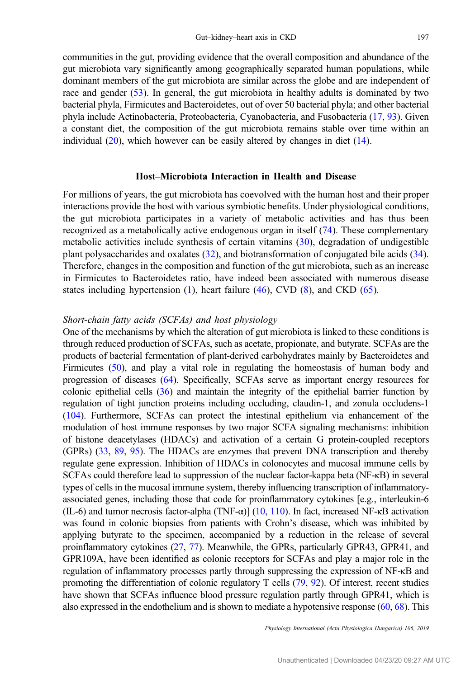communities in the gut, providing evidence that the overall composition and abundance of the gut microbiota vary significantly among geographically separated human populations, while dominant members of the gut microbiota are similar across the globe and are independent of race and gender ([53\)](#page-9-0). In general, the gut microbiota in healthy adults is dominated by two bacterial phyla, Firmicutes and Bacteroidetes, out of over 50 bacterial phyla; and other bacterial phyla include Actinobacteria, Proteobacteria, Cyanobacteria, and Fusobacteria [\(17](#page-7-0), [93\)](#page-11-0). Given a constant diet, the composition of the gut microbiota remains stable over time within an individual ([20\)](#page-8-0), which however can be easily altered by changes in diet [\(14](#page-7-0)).

# Host–Microbiota Interaction in Health and Disease

For millions of years, the gut microbiota has coevolved with the human host and their proper interactions provide the host with various symbiotic benefits. Under physiological conditions, the gut microbiota participates in a variety of metabolic activities and has thus been recognized as a metabolically active endogenous organ in itself [\(74](#page-10-0)). These complementary metabolic activities include synthesis of certain vitamins [\(30](#page-8-0)), degradation of undigestible plant polysaccharides and oxalates ([32\)](#page-8-0), and biotransformation of conjugated bile acids [\(34](#page-8-0)). Therefore, changes in the composition and function of the gut microbiota, such as an increase in Firmicutes to Bacteroidetes ratio, have indeed been associated with numerous disease states including hypertension  $(1)$  $(1)$ , heart failure  $(46)$  $(46)$ , CVD  $(8)$  $(8)$ , and CKD  $(65)$  $(65)$ .

#### Short-chain fatty acids (SCFAs) and host physiology

One of the mechanisms by which the alteration of gut microbiota is linked to these conditions is through reduced production of SCFAs, such as acetate, propionate, and butyrate. SCFAs are the products of bacterial fermentation of plant-derived carbohydrates mainly by Bacteroidetes and Firmicutes [\(50\)](#page-9-0), and play a vital role in regulating the homeostasis of human body and progression of diseases ([64\)](#page-10-0). Specifically, SCFAs serve as important energy resources for colonic epithelial cells [\(36\)](#page-8-0) and maintain the integrity of the epithelial barrier function by regulation of tight junction proteins including occluding, claudin-1, and zonula occludens-1 [\(104\)](#page-11-0). Furthermore, SCFAs can protect the intestinal epithelium via enhancement of the modulation of host immune responses by two major SCFA signaling mechanisms: inhibition of histone deacetylases (HDACs) and activation of a certain G protein-coupled receptors (GPRs) ([33,](#page-8-0) [89](#page-11-0), [95](#page-11-0)). The HDACs are enzymes that prevent DNA transcription and thereby regulate gene expression. Inhibition of HDACs in colonocytes and mucosal immune cells by SCFAs could therefore lead to suppression of the nuclear factor-kappa beta (NF-κB) in several types of cells in the mucosal immune system, thereby influencing transcription of inflammatoryassociated genes, including those that code for proinflammatory cytokines [e.g., interleukin-6 (IL-6) and tumor necrosis factor-alpha (TNF- $\alpha$ )] [\(10,](#page-7-0) [110\)](#page-11-0). In fact, increased NF- $\kappa$ B activation was found in colonic biopsies from patients with Crohn's disease, which was inhibited by applying butyrate to the specimen, accompanied by a reduction in the release of several proinflammatory cytokines [\(27,](#page-8-0) [77](#page-10-0)). Meanwhile, the GPRs, particularly GPR43, GPR41, and GPR109A, have been identified as colonic receptors for SCFAs and play a major role in the regulation of inflammatory processes partly through suppressing the expression of NF-κB and promoting the differentiation of colonic regulatory T cells [\(79](#page-10-0), [92](#page-11-0)). Of interest, recent studies have shown that SCFAs influence blood pressure regulation partly through GPR41, which is also expressed in the endothelium and is shown to mediate a hypotensive response  $(60, 68)$  $(60, 68)$  $(60, 68)$  $(60, 68)$ . This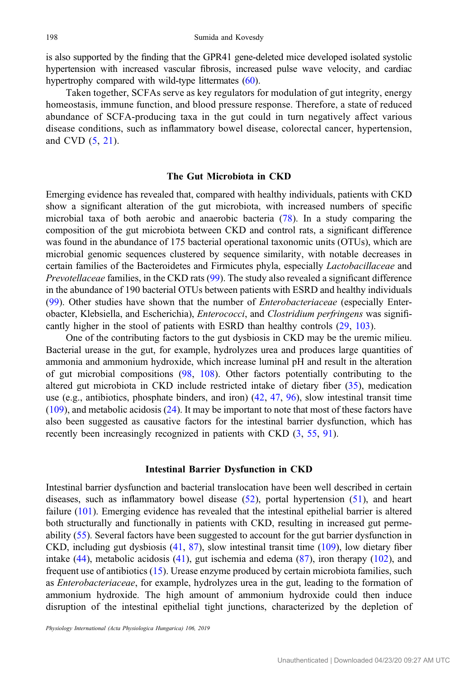is also supported by the finding that the GPR41 gene-deleted mice developed isolated systolic hypertension with increased vascular fibrosis, increased pulse wave velocity, and cardiac hypertrophy compared with wild-type littermates ([60\)](#page-9-0).

Taken together, SCFAs serve as key regulators for modulation of gut integrity, energy homeostasis, immune function, and blood pressure response. Therefore, a state of reduced abundance of SCFA-producing taxa in the gut could in turn negatively affect various disease conditions, such as inflammatory bowel disease, colorectal cancer, hypertension, and CVD [\(5,](#page-7-0) [21\)](#page-8-0).

# The Gut Microbiota in CKD

Emerging evidence has revealed that, compared with healthy individuals, patients with CKD show a significant alteration of the gut microbiota, with increased numbers of specific microbial taxa of both aerobic and anaerobic bacteria [\(78](#page-10-0)). In a study comparing the composition of the gut microbiota between CKD and control rats, a significant difference was found in the abundance of 175 bacterial operational taxonomic units (OTUs), which are microbial genomic sequences clustered by sequence similarity, with notable decreases in certain families of the Bacteroidetes and Firmicutes phyla, especially Lactobacillaceae and Prevotellaceae families, in the CKD rats [\(99](#page-11-0)). The study also revealed a significant difference in the abundance of 190 bacterial OTUs between patients with ESRD and healthy individuals [\(99](#page-11-0)). Other studies have shown that the number of Enterobacteriaceae (especially Enterobacter, Klebsiella, and Escherichia), Enterococci, and Clostridium perfringens was significantly higher in the stool of patients with ESRD than healthy controls [\(29](#page-8-0), [103](#page-11-0)).

One of the contributing factors to the gut dysbiosis in CKD may be the uremic milieu. Bacterial urease in the gut, for example, hydrolyzes urea and produces large quantities of ammonia and ammonium hydroxide, which increase luminal pH and result in the alteration of gut microbial compositions [\(98](#page-11-0), [108](#page-11-0)). Other factors potentially contributing to the altered gut microbiota in CKD include restricted intake of dietary fiber [\(35](#page-8-0)), medication use (e.g., antibiotics, phosphate binders, and iron) [\(42](#page-9-0), [47](#page-9-0), [96\)](#page-11-0), slow intestinal transit time [\(109](#page-11-0)), and metabolic acidosis [\(24](#page-8-0)). It may be important to note that most of these factors have also been suggested as causative factors for the intestinal barrier dysfunction, which has recently been increasingly recognized in patients with CKD  $(3, 55, 91)$  $(3, 55, 91)$  $(3, 55, 91)$  $(3, 55, 91)$  $(3, 55, 91)$  $(3, 55, 91)$ .

#### Intestinal Barrier Dysfunction in CKD

Intestinal barrier dysfunction and bacterial translocation have been well described in certain diseases, such as inflammatory bowel disease ([52\)](#page-9-0), portal hypertension ([51\)](#page-9-0), and heart failure ([101\)](#page-11-0). Emerging evidence has revealed that the intestinal epithelial barrier is altered both structurally and functionally in patients with CKD, resulting in increased gut permeability ([55\)](#page-9-0). Several factors have been suggested to account for the gut barrier dysfunction in CKD, including gut dysbiosis [\(41](#page-9-0), [87](#page-11-0)), slow intestinal transit time ([109\)](#page-11-0), low dietary fiber intake  $(44)$  $(44)$ , metabolic acidosis  $(41)$  $(41)$ , gut ischemia and edema  $(87)$  $(87)$ , iron therapy  $(102)$  $(102)$ , and frequent use of antibiotics [\(15](#page-7-0)). Urease enzyme produced by certain microbiota families, such as Enterobacteriaceae, for example, hydrolyzes urea in the gut, leading to the formation of ammonium hydroxide. The high amount of ammonium hydroxide could then induce disruption of the intestinal epithelial tight junctions, characterized by the depletion of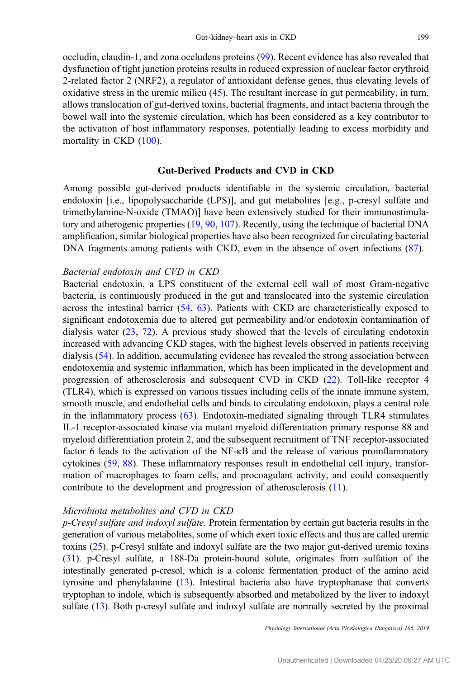occludin, claudin-1, and zona occludens proteins ([99\)](#page-11-0). Recent evidence has also revealed that dysfunction of tight junction proteins results in reduced expression of nuclear factor erythroid 2-related factor 2 (NRF2), a regulator of antioxidant defense genes, thus elevating levels of oxidative stress in the uremic milieu  $(45)$  $(45)$ . The resultant increase in gut permeability, in turn, allows translocation of gut-derived toxins, bacterial fragments, and intact bacteria through the bowel wall into the systemic circulation, which has been considered as a key contributor to the activation of host inflammatory responses, potentially leading to excess morbidity and mortality in CKD ([100\)](#page-11-0).

# Gut-Derived Products and CVD in CKD

Among possible gut-derived products identifiable in the systemic circulation, bacterial endotoxin [i.e., lipopolysaccharide (LPS)], and gut metabolites [e.g., p-cresyl sulfate and trimethylamine-N-oxide (TMAO)] have been extensively studied for their immunostimulatory and atherogenic properties ([19,](#page-8-0) [90,](#page-11-0) [107](#page-11-0)). Recently, using the technique of bacterial DNA amplification, similar biological properties have also been recognized for circulating bacterial DNA fragments among patients with CKD, even in the absence of overt infections [\(87](#page-11-0)).

## Bacterial endotoxin and CVD in CKD

Bacterial endotoxin, a LPS constituent of the external cell wall of most Gram-negative bacteria, is continuously produced in the gut and translocated into the systemic circulation across the intestinal barrier ([54](#page-9-0), [63](#page-9-0)). Patients with CKD are characteristically exposed to significant endotoxemia due to altered gut permeability and/or endotoxin contamination of dialysis water [\(23](#page-8-0), [72](#page-10-0)). A previous study showed that the levels of circulating endotoxin increased with advancing CKD stages, with the highest levels observed in patients receiving dialysis ([54\)](#page-9-0). In addition, accumulating evidence has revealed the strong association between endotoxemia and systemic inflammation, which has been implicated in the development and progression of atherosclerosis and subsequent CVD in CKD ([22\)](#page-8-0). Toll-like receptor 4 (TLR4), which is expressed on various tissues including cells of the innate immune system, smooth muscle, and endothelial cells and binds to circulating endotoxin, plays a central role in the inflammatory process ([63\)](#page-9-0). Endotoxin-mediated signaling through TLR4 stimulates IL-1 receptor-associated kinase via mutant myeloid differentiation primary response 88 and myeloid differentiation protein 2, and the subsequent recruitment of TNF receptor-associated factor 6 leads to the activation of the NF-κB and the release of various proinflammatory cytokines [\(59](#page-9-0), [88](#page-11-0)). These inflammatory responses result in endothelial cell injury, transformation of macrophages to foam cells, and procoagulant activity, and could consequently contribute to the development and progression of atherosclerosis [\(11](#page-7-0)).

# Microbiota metabolites and CVD in CKD

p-Cresyl sulfate and indoxyl sulfate. Protein fermentation by certain gut bacteria results in the generation of various metabolites, some of which exert toxic effects and thus are called uremic toxins [\(25\)](#page-8-0). p-Cresyl sulfate and indoxyl sulfate are the two major gut-derived uremic toxins [\(31\)](#page-8-0). p-Cresyl sulfate, a 188-Da protein-bound solute, originates from sulfation of the intestinally generated p-cresol, which is a colonic fermentation product of the amino acid tyrosine and phenylalanine ([13\)](#page-7-0). Intestinal bacteria also have tryptophanase that converts tryptophan to indole, which is subsequently absorbed and metabolized by the liver to indoxyl sulfate [\(13\)](#page-7-0). Both p-cresyl sulfate and indoxyl sulfate are normally secreted by the proximal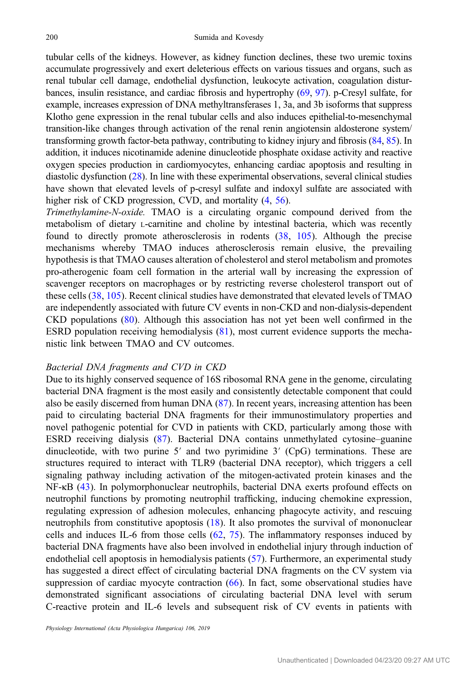tubular cells of the kidneys. However, as kidney function declines, these two uremic toxins accumulate progressively and exert deleterious effects on various tissues and organs, such as renal tubular cell damage, endothelial dysfunction, leukocyte activation, coagulation disturbances, insulin resistance, and cardiac fibrosis and hypertrophy ([69,](#page-10-0) [97\)](#page-11-0). p-Cresyl sulfate, for example, increases expression of DNA methyltransferases 1, 3a, and 3b isoforms that suppress Klotho gene expression in the renal tubular cells and also induces epithelial-to-mesenchymal transition-like changes through activation of the renal renin angiotensin aldosterone system/ transforming growth factor-beta pathway, contributing to kidney injury and fibrosis ([84,](#page-10-0) [85](#page-10-0)). In addition, it induces nicotinamide adenine dinucleotide phosphate oxidase activity and reactive oxygen species production in cardiomyocytes, enhancing cardiac apoptosis and resulting in diastolic dysfunction [\(28](#page-8-0)). In line with these experimental observations, several clinical studies have shown that elevated levels of p-cresyl sulfate and indoxyl sulfate are associated with higher risk of CKD progression, CVD, and mortality  $(4, 56)$  $(4, 56)$  $(4, 56)$ .

Trimethylamine-N-oxide. TMAO is a circulating organic compound derived from the metabolism of dietary L-carnitine and choline by intestinal bacteria, which was recently found to directly promote atherosclerosis in rodents [\(38](#page-8-0), [105](#page-11-0)). Although the precise mechanisms whereby TMAO induces atherosclerosis remain elusive, the prevailing hypothesis is that TMAO causes alteration of cholesterol and sterol metabolism and promotes pro-atherogenic foam cell formation in the arterial wall by increasing the expression of scavenger receptors on macrophages or by restricting reverse cholesterol transport out of these cells ([38,](#page-8-0) [105](#page-11-0)). Recent clinical studies have demonstrated that elevated levels of TMAO are independently associated with future CV events in non-CKD and non-dialysis-dependent CKD populations [\(80\)](#page-10-0). Although this association has not yet been well confirmed in the ESRD population receiving hemodialysis ([81\)](#page-10-0), most current evidence supports the mechanistic link between TMAO and CV outcomes.

# Bacterial DNA fragments and CVD in CKD

Due to its highly conserved sequence of 16S ribosomal RNA gene in the genome, circulating bacterial DNA fragment is the most easily and consistently detectable component that could also be easily discerned from human DNA ([87\)](#page-11-0). In recent years, increasing attention has been paid to circulating bacterial DNA fragments for their immunostimulatory properties and novel pathogenic potential for CVD in patients with CKD, particularly among those with ESRD receiving dialysis [\(87](#page-11-0)). Bacterial DNA contains unmethylated cytosine–guanine<br>dinucleotide, with two purine 5′ and two pyrimidine 3′ (CpG) terminations. These are structures required to interact with TLR9 (bacterial DNA receptor), which triggers a cell signaling pathway including activation of the mitogen-activated protein kinases and the NF-κB [\(43](#page-9-0)). In polymorphonuclear neutrophils, bacterial DNA exerts profound effects on neutrophil functions by promoting neutrophil trafficking, inducing chemokine expression, regulating expression of adhesion molecules, enhancing phagocyte activity, and rescuing neutrophils from constitutive apoptosis [\(18](#page-8-0)). It also promotes the survival of mononuclear cells and induces IL-6 from those cells ([62,](#page-9-0) [75\)](#page-10-0). The inflammatory responses induced by bacterial DNA fragments have also been involved in endothelial injury through induction of endothelial cell apoptosis in hemodialysis patients ([57\)](#page-9-0). Furthermore, an experimental study has suggested a direct effect of circulating bacterial DNA fragments on the CV system via suppression of cardiac myocyte contraction  $(66)$  $(66)$ . In fact, some observational studies have demonstrated significant associations of circulating bacterial DNA level with serum C-reactive protein and IL-6 levels and subsequent risk of CV events in patients with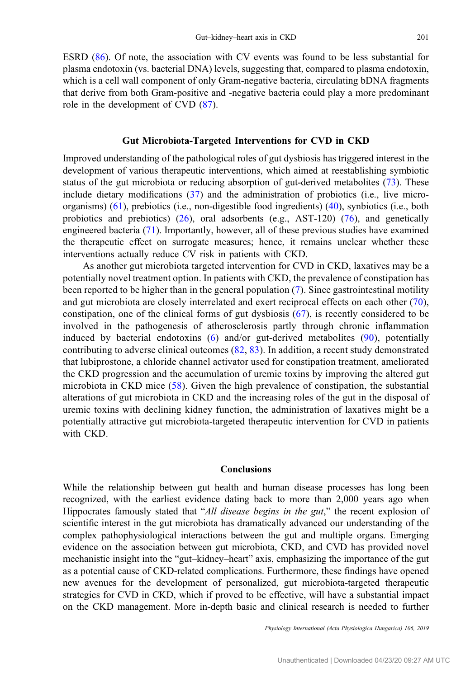ESRD [\(86](#page-10-0)). Of note, the association with CV events was found to be less substantial for plasma endotoxin (vs. bacterial DNA) levels, suggesting that, compared to plasma endotoxin, which is a cell wall component of only Gram-negative bacteria, circulating bDNA fragments that derive from both Gram-positive and -negative bacteria could play a more predominant role in the development of CVD ([87\)](#page-11-0).

# Gut Microbiota-Targeted Interventions for CVD in CKD

Improved understanding of the pathological roles of gut dysbiosis has triggered interest in the development of various therapeutic interventions, which aimed at reestablishing symbiotic status of the gut microbiota or reducing absorption of gut-derived metabolites [\(73](#page-10-0)). These include dietary modifications [\(37](#page-8-0)) and the administration of probiotics (i.e., live microorganisms) [\(61](#page-9-0)), prebiotics (i.e., non-digestible food ingredients) [\(40](#page-8-0)), synbiotics (i.e., both probiotics and prebiotics)  $(26)$  $(26)$ , oral adsorbents (e.g., AST-120)  $(76)$  $(76)$ , and genetically engineered bacteria [\(71](#page-10-0)). Importantly, however, all of these previous studies have examined the therapeutic effect on surrogate measures; hence, it remains unclear whether these interventions actually reduce CV risk in patients with CKD.

As another gut microbiota targeted intervention for CVD in CKD, laxatives may be a potentially novel treatment option. In patients with CKD, the prevalence of constipation has been reported to be higher than in the general population ([7\)](#page-7-0). Since gastrointestinal motility and gut microbiota are closely interrelated and exert reciprocal effects on each other ([70](#page-10-0)), constipation, one of the clinical forms of gut dysbiosis  $(67)$  $(67)$ , is recently considered to be involved in the pathogenesis of atherosclerosis partly through chronic inflammation induced by bacterial endotoxins ([6](#page-7-0)) and/or gut-derived metabolites ([90](#page-11-0)), potentially contributing to adverse clinical outcomes ([82](#page-10-0), [83](#page-10-0)). In addition, a recent study demonstrated that lubiprostone, a chloride channel activator used for constipation treatment, ameliorated the CKD progression and the accumulation of uremic toxins by improving the altered gut microbiota in CKD mice [\(58](#page-9-0)). Given the high prevalence of constipation, the substantial alterations of gut microbiota in CKD and the increasing roles of the gut in the disposal of uremic toxins with declining kidney function, the administration of laxatives might be a potentially attractive gut microbiota-targeted therapeutic intervention for CVD in patients with CKD.

#### **Conclusions**

While the relationship between gut health and human disease processes has long been recognized, with the earliest evidence dating back to more than 2,000 years ago when Hippocrates famously stated that "All disease begins in the gut," the recent explosion of scientific interest in the gut microbiota has dramatically advanced our understanding of the complex pathophysiological interactions between the gut and multiple organs. Emerging evidence on the association between gut microbiota, CKD, and CVD has provided novel mechanistic insight into the "gut–kidney–heart" axis, emphasizing the importance of the gut as a potential cause of CKD-related complications. Furthermore, these findings have opened new avenues for the development of personalized, gut microbiota-targeted therapeutic strategies for CVD in CKD, which if proved to be effective, will have a substantial impact on the CKD management. More in-depth basic and clinical research is needed to further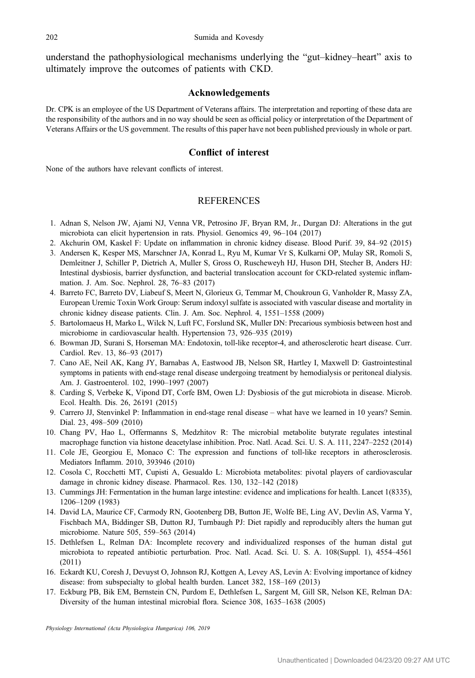<span id="page-7-0"></span>understand the pathophysiological mechanisms underlying the "gut–kidney–heart" axis to ultimately improve the outcomes of patients with CKD.

#### Acknowledgements

Dr. CPK is an employee of the US Department of Veterans affairs. The interpretation and reporting of these data are the responsibility of the authors and in no way should be seen as official policy or interpretation of the Department of Veterans Affairs or the US government. The results of this paper have not been published previously in whole or part.

## Conflict of interest

None of the authors have relevant conflicts of interest.

#### **REFERENCES**

- 1. Adnan S, Nelson JW, Ajami NJ, Venna VR, Petrosino JF, Bryan RM, Jr., Durgan DJ: Alterations in the gut microbiota can elicit hypertension in rats. Physiol. Genomics 49, 96–104 (2017)
- 2. Akchurin OM, Kaskel F: Update on inflammation in chronic kidney disease. Blood Purif. 39, 84–92 (2015)
- 3. Andersen K, Kesper MS, Marschner JA, Konrad L, Ryu M, Kumar Vr S, Kulkarni OP, Mulay SR, Romoli S, Demleitner J, Schiller P, Dietrich A, Muller S, Gross O, Ruscheweyh HJ, Huson DH, Stecher B, Anders HJ: Intestinal dysbiosis, barrier dysfunction, and bacterial translocation account for CKD-related systemic inflammation. J. Am. Soc. Nephrol. 28, 76–83 (2017)
- 4. Barreto FC, Barreto DV, Liabeuf S, Meert N, Glorieux G, Temmar M, Choukroun G, Vanholder R, Massy ZA, European Uremic Toxin Work Group: Serum indoxyl sulfate is associated with vascular disease and mortality in chronic kidney disease patients. Clin. J. Am. Soc. Nephrol. 4, 1551–1558 (2009)
- 5. Bartolomaeus H, Marko L, Wilck N, Luft FC, Forslund SK, Muller DN: Precarious symbiosis between host and microbiome in cardiovascular health. Hypertension 73, 926–935 (2019)
- 6. Bowman JD, Surani S, Horseman MA: Endotoxin, toll-like receptor-4, and atherosclerotic heart disease. Curr. Cardiol. Rev. 13, 86–93 (2017)
- 7. Cano AE, Neil AK, Kang JY, Barnabas A, Eastwood JB, Nelson SR, Hartley I, Maxwell D: Gastrointestinal symptoms in patients with end-stage renal disease undergoing treatment by hemodialysis or peritoneal dialysis. Am. J. Gastroenterol. 102, 1990–1997 (2007)
- 8. Carding S, Verbeke K, Vipond DT, Corfe BM, Owen LJ: Dysbiosis of the gut microbiota in disease. Microb. Ecol. Health. Dis. 26, 26191 (2015)
- 9. Carrero JJ, Stenvinkel P: Inflammation in end-stage renal disease what have we learned in 10 years? Semin. Dial. 23, 498–509 (2010)
- 10. Chang PV, Hao L, Offermanns S, Medzhitov R: The microbial metabolite butyrate regulates intestinal macrophage function via histone deacetylase inhibition. Proc. Natl. Acad. Sci. U. S. A. 111, 2247–2252 (2014)
- 11. Cole JE, Georgiou E, Monaco C: The expression and functions of toll-like receptors in atherosclerosis. Mediators Inflamm. 2010, 393946 (2010)
- 12. Cosola C, Rocchetti MT, Cupisti A, Gesualdo L: Microbiota metabolites: pivotal players of cardiovascular damage in chronic kidney disease. Pharmacol. Res. 130, 132–142 (2018)
- 13. Cummings JH: Fermentation in the human large intestine: evidence and implications for health. Lancet 1(8335), 1206–1209 (1983)
- 14. David LA, Maurice CF, Carmody RN, Gootenberg DB, Button JE, Wolfe BE, Ling AV, Devlin AS, Varma Y, Fischbach MA, Biddinger SB, Dutton RJ, Turnbaugh PJ: Diet rapidly and reproducibly alters the human gut microbiome. Nature 505, 559–563 (2014)
- 15. Dethlefsen L, Relman DA: Incomplete recovery and individualized responses of the human distal gut microbiota to repeated antibiotic perturbation. Proc. Natl. Acad. Sci. U. S. A. 108(Suppl. 1), 4554–4561 (2011)
- 16. Eckardt KU, Coresh J, Devuyst O, Johnson RJ, Kottgen A, Levey AS, Levin A: Evolving importance of kidney disease: from subspecialty to global health burden. Lancet 382, 158–169 (2013)
- 17. Eckburg PB, Bik EM, Bernstein CN, Purdom E, Dethlefsen L, Sargent M, Gill SR, Nelson KE, Relman DA: Diversity of the human intestinal microbial flora. Science 308, 1635–1638 (2005)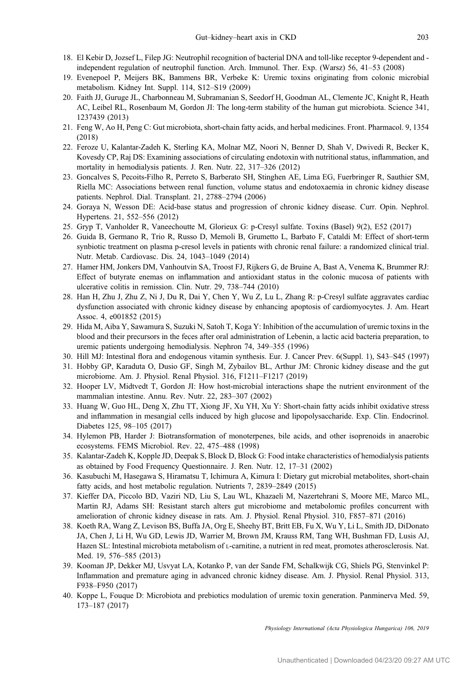- <span id="page-8-0"></span>18. El Kebir D, Jozsef L, Filep JG: Neutrophil recognition of bacterial DNA and toll-like receptor 9-dependent and independent regulation of neutrophil function. Arch. Immunol. Ther. Exp. (Warsz) 56, 41–53 (2008)
- 19. Evenepoel P, Meijers BK, Bammens BR, Verbeke K: Uremic toxins originating from colonic microbial metabolism. Kidney Int. Suppl. 114, S12–S19 (2009)
- 20. Faith JJ, Guruge JL, Charbonneau M, Subramanian S, Seedorf H, Goodman AL, Clemente JC, Knight R, Heath AC, Leibel RL, Rosenbaum M, Gordon JI: The long-term stability of the human gut microbiota. Science 341, 1237439 (2013)
- 21. Feng W, Ao H, Peng C: Gut microbiota, short-chain fatty acids, and herbal medicines. Front. Pharmacol. 9, 1354 (2018)
- 22. Feroze U, Kalantar-Zadeh K, Sterling KA, Molnar MZ, Noori N, Benner D, Shah V, Dwivedi R, Becker K, Kovesdy CP, Raj DS: Examining associations of circulating endotoxin with nutritional status, inflammation, and mortality in hemodialysis patients. J. Ren. Nutr. 22, 317–326 (2012)
- 23. Goncalves S, Pecoits-Filho R, Perreto S, Barberato SH, Stinghen AE, Lima EG, Fuerbringer R, Sauthier SM, Riella MC: Associations between renal function, volume status and endotoxaemia in chronic kidney disease patients. Nephrol. Dial. Transplant. 21, 2788–2794 (2006)
- 24. Goraya N, Wesson DE: Acid-base status and progression of chronic kidney disease. Curr. Opin. Nephrol. Hypertens. 21, 552–556 (2012)
- 25. Gryp T, Vanholder R, Vaneechoutte M, Glorieux G: p-Cresyl sulfate. Toxins (Basel) 9(2), E52 (2017)
- 26. Guida B, Germano R, Trio R, Russo D, Memoli B, Grumetto L, Barbato F, Cataldi M: Effect of short-term synbiotic treatment on plasma p-cresol levels in patients with chronic renal failure: a randomized clinical trial. Nutr. Metab. Cardiovasc. Dis. 24, 1043–1049 (2014)
- 27. Hamer HM, Jonkers DM, Vanhoutvin SA, Troost FJ, Rijkers G, de Bruine A, Bast A, Venema K, Brummer RJ: Effect of butyrate enemas on inflammation and antioxidant status in the colonic mucosa of patients with ulcerative colitis in remission. Clin. Nutr. 29, 738–744 (2010)
- 28. Han H, Zhu J, Zhu Z, Ni J, Du R, Dai Y, Chen Y, Wu Z, Lu L, Zhang R: p-Cresyl sulfate aggravates cardiac dysfunction associated with chronic kidney disease by enhancing apoptosis of cardiomyocytes. J. Am. Heart Assoc. 4, e001852 (2015)
- 29. Hida M, Aiba Y, Sawamura S, Suzuki N, Satoh T, Koga Y: Inhibition of the accumulation of uremic toxins in the blood and their precursors in the feces after oral administration of Lebenin, a lactic acid bacteria preparation, to uremic patients undergoing hemodialysis. Nephron 74, 349–355 (1996)
- 30. Hill MJ: Intestinal flora and endogenous vitamin synthesis. Eur. J. Cancer Prev. 6(Suppl. 1), S43–S45 (1997)
- 31. Hobby GP, Karaduta O, Dusio GF, Singh M, Zybailov BL, Arthur JM: Chronic kidney disease and the gut microbiome. Am. J. Physiol. Renal Physiol. 316, F1211–F1217 (2019)
- 32. Hooper LV, Midtvedt T, Gordon JI: How host-microbial interactions shape the nutrient environment of the mammalian intestine. Annu. Rev. Nutr. 22, 283–307 (2002)
- 33. Huang W, Guo HL, Deng X, Zhu TT, Xiong JF, Xu YH, Xu Y: Short-chain fatty acids inhibit oxidative stress and inflammation in mesangial cells induced by high glucose and lipopolysaccharide. Exp. Clin. Endocrinol. Diabetes 125, 98–105 (2017)
- 34. Hylemon PB, Harder J: Biotransformation of monoterpenes, bile acids, and other isoprenoids in anaerobic ecosystems. FEMS Microbiol. Rev. 22, 475–488 (1998)
- 35. Kalantar-Zadeh K, Kopple JD, Deepak S, Block D, Block G: Food intake characteristics of hemodialysis patients as obtained by Food Frequency Questionnaire. J. Ren. Nutr. 12, 17–31 (2002)
- 36. Kasubuchi M, Hasegawa S, Hiramatsu T, Ichimura A, Kimura I: Dietary gut microbial metabolites, short-chain fatty acids, and host metabolic regulation. Nutrients 7, 2839–2849 (2015)
- 37. Kieffer DA, Piccolo BD, Vaziri ND, Liu S, Lau WL, Khazaeli M, Nazertehrani S, Moore ME, Marco ML, Martin RJ, Adams SH: Resistant starch alters gut microbiome and metabolomic profiles concurrent with amelioration of chronic kidney disease in rats. Am. J. Physiol. Renal Physiol. 310, F857–871 (2016)
- 38. Koeth RA, Wang Z, Levison BS, Buffa JA, Org E, Sheehy BT, Britt EB, Fu X, Wu Y, Li L, Smith JD, DiDonato JA, Chen J, Li H, Wu GD, Lewis JD, Warrier M, Brown JM, Krauss RM, Tang WH, Bushman FD, Lusis AJ, Hazen SL: Intestinal microbiota metabolism of L-carnitine, a nutrient in red meat, promotes atherosclerosis. Nat. Med. 19, 576–585 (2013)
- 39. Kooman JP, Dekker MJ, Usvyat LA, Kotanko P, van der Sande FM, Schalkwijk CG, Shiels PG, Stenvinkel P: Inflammation and premature aging in advanced chronic kidney disease. Am. J. Physiol. Renal Physiol. 313, F938–F950 (2017)
- 40. Koppe L, Fouque D: Microbiota and prebiotics modulation of uremic toxin generation. Panminerva Med. 59, 173–187 (2017)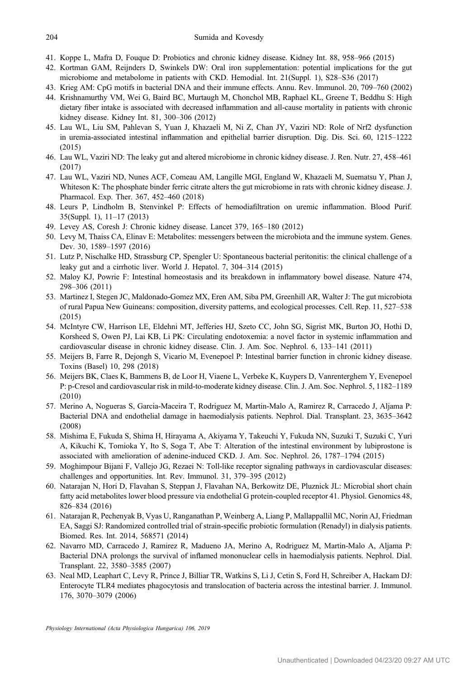#### <span id="page-9-0"></span>204 Sumida and Kovesdy

- 41. Koppe L, Mafra D, Fouque D: Probiotics and chronic kidney disease. Kidney Int. 88, 958–966 (2015)
- 42. Kortman GAM, Reijnders D, Swinkels DW: Oral iron supplementation: potential implications for the gut microbiome and metabolome in patients with CKD. Hemodial. Int. 21(Suppl. 1), S28–S36 (2017)
- 43. Krieg AM: CpG motifs in bacterial DNA and their immune effects. Annu. Rev. Immunol. 20, 709–760 (2002)
- 44. Krishnamurthy VM, Wei G, Baird BC, Murtaugh M, Chonchol MB, Raphael KL, Greene T, Beddhu S: High dietary fiber intake is associated with decreased inflammation and all-cause mortality in patients with chronic kidney disease. Kidney Int. 81, 300–306 (2012)
- 45. Lau WL, Liu SM, Pahlevan S, Yuan J, Khazaeli M, Ni Z, Chan JY, Vaziri ND: Role of Nrf2 dysfunction in uremia-associated intestinal inflammation and epithelial barrier disruption. Dig. Dis. Sci. 60, 1215–1222 (2015)
- 46. Lau WL, Vaziri ND: The leaky gut and altered microbiome in chronic kidney disease. J. Ren. Nutr. 27, 458–461 (2017)
- 47. Lau WL, Vaziri ND, Nunes ACF, Comeau AM, Langille MGI, England W, Khazaeli M, Suematsu Y, Phan J, Whiteson K: The phosphate binder ferric citrate alters the gut microbiome in rats with chronic kidney disease. J. Pharmacol. Exp. Ther. 367, 452–460 (2018)
- 48. Leurs P, Lindholm B, Stenvinkel P: Effects of hemodiafiltration on uremic inflammation. Blood Purif. 35(Suppl. 1), 11–17 (2013)
- 49. Levey AS, Coresh J: Chronic kidney disease. Lancet 379, 165–180 (2012)
- 50. Levy M, Thaiss CA, Elinav E: Metabolites: messengers between the microbiota and the immune system. Genes. Dev. 30, 1589–1597 (2016)
- 51. Lutz P, Nischalke HD, Strassburg CP, Spengler U: Spontaneous bacterial peritonitis: the clinical challenge of a leaky gut and a cirrhotic liver. World J. Hepatol. 7, 304–314 (2015)
- 52. Maloy KJ, Powrie F: Intestinal homeostasis and its breakdown in inflammatory bowel disease. Nature 474, 298–306 (2011)
- 53. Martinez I, Stegen JC, Maldonado-Gomez MX, Eren AM, Siba PM, Greenhill AR, Walter J: The gut microbiota of rural Papua New Guineans: composition, diversity patterns, and ecological processes. Cell. Rep. 11, 527–538 (2015)
- 54. McIntyre CW, Harrison LE, Eldehni MT, Jefferies HJ, Szeto CC, John SG, Sigrist MK, Burton JO, Hothi D, Korsheed S, Owen PJ, Lai KB, Li PK: Circulating endotoxemia: a novel factor in systemic inflammation and cardiovascular disease in chronic kidney disease. Clin. J. Am. Soc. Nephrol. 6, 133–141 (2011)
- 55. Meijers B, Farre R, Dejongh S, Vicario M, Evenepoel P: Intestinal barrier function in chronic kidney disease. Toxins (Basel) 10, 298 (2018)
- 56. Meijers BK, Claes K, Bammens B, de Loor H, Viaene L, Verbeke K, Kuypers D, Vanrenterghem Y, Evenepoel P: p-Cresol and cardiovascular risk in mild-to-moderate kidney disease. Clin. J. Am. Soc. Nephrol. 5, 1182–1189 (2010)
- 57. Merino A, Nogueras S, Garcia-Maceira T, Rodriguez M, Martin-Malo A, Ramirez R, Carracedo J, Aljama P: Bacterial DNA and endothelial damage in haemodialysis patients. Nephrol. Dial. Transplant. 23, 3635–3642 (2008)
- 58. Mishima E, Fukuda S, Shima H, Hirayama A, Akiyama Y, Takeuchi Y, Fukuda NN, Suzuki T, Suzuki C, Yuri A, Kikuchi K, Tomioka Y, Ito S, Soga T, Abe T: Alteration of the intestinal environment by lubiprostone is associated with amelioration of adenine-induced CKD. J. Am. Soc. Nephrol. 26, 1787–1794 (2015)
- 59. Moghimpour Bijani F, Vallejo JG, Rezaei N: Toll-like receptor signaling pathways in cardiovascular diseases: challenges and opportunities. Int. Rev. Immunol. 31, 379–395 (2012)
- 60. Natarajan N, Hori D, Flavahan S, Steppan J, Flavahan NA, Berkowitz DE, Pluznick JL: Microbial short chain fatty acid metabolites lower blood pressure via endothelial G protein-coupled receptor 41. Physiol. Genomics 48, 826–834 (2016)
- 61. Natarajan R, Pechenyak B, Vyas U, Ranganathan P, Weinberg A, Liang P, Mallappallil MC, Norin AJ, Friedman EA, Saggi SJ: Randomized controlled trial of strain-specific probiotic formulation (Renadyl) in dialysis patients. Biomed. Res. Int. 2014, 568571 (2014)
- 62. Navarro MD, Carracedo J, Ramirez R, Madueno JA, Merino A, Rodriguez M, Martin-Malo A, Aljama P: Bacterial DNA prolongs the survival of inflamed mononuclear cells in haemodialysis patients. Nephrol. Dial. Transplant. 22, 3580–3585 (2007)
- 63. Neal MD, Leaphart C, Levy R, Prince J, Billiar TR, Watkins S, Li J, Cetin S, Ford H, Schreiber A, Hackam DJ: Enterocyte TLR4 mediates phagocytosis and translocation of bacteria across the intestinal barrier. J. Immunol. 176, 3070–3079 (2006)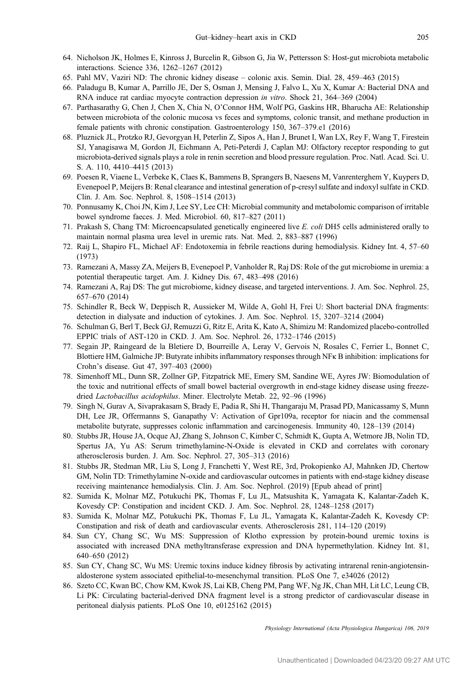- <span id="page-10-0"></span>64. Nicholson JK, Holmes E, Kinross J, Burcelin R, Gibson G, Jia W, Pettersson S: Host-gut microbiota metabolic interactions. Science 336, 1262–1267 (2012)
- 65. Pahl MV, Vaziri ND: The chronic kidney disease colonic axis. Semin. Dial. 28, 459–463 (2015)
- 66. Paladugu B, Kumar A, Parrillo JE, Der S, Osman J, Mensing J, Falvo L, Xu X, Kumar A: Bacterial DNA and RNA induce rat cardiac myocyte contraction depression in vitro. Shock 21, 364–369 (2004)
- 67. Parthasarathy G, Chen J, Chen X, Chia N, O'Connor HM, Wolf PG, Gaskins HR, Bharucha AE: Relationship between microbiota of the colonic mucosa vs feces and symptoms, colonic transit, and methane production in female patients with chronic constipation. Gastroenterology 150, 367–379.e1 (2016)
- 68. Pluznick JL, Protzko RJ, Gevorgyan H, Peterlin Z, Sipos A, Han J, Brunet I, Wan LX, Rey F, Wang T, Firestein SJ, Yanagisawa M, Gordon JI, Eichmann A, Peti-Peterdi J, Caplan MJ: Olfactory receptor responding to gut microbiota-derived signals plays a role in renin secretion and blood pressure regulation. Proc. Natl. Acad. Sci. U. S. A. 110, 4410–4415 (2013)
- 69. Poesen R, Viaene L, Verbeke K, Claes K, Bammens B, Sprangers B, Naesens M, Vanrenterghem Y, Kuypers D, Evenepoel P, Meijers B: Renal clearance and intestinal generation of p-cresyl sulfate and indoxyl sulfate in CKD. Clin. J. Am. Soc. Nephrol. 8, 1508–1514 (2013)
- 70. Ponnusamy K, Choi JN, Kim J, Lee SY, Lee CH: Microbial community and metabolomic comparison of irritable bowel syndrome faeces. J. Med. Microbiol. 60, 817–827 (2011)
- 71. Prakash S, Chang TM: Microencapsulated genetically engineered live E. coli DH5 cells administered orally to maintain normal plasma urea level in uremic rats. Nat. Med. 2, 883–887 (1996)
- 72. Raij L, Shapiro FL, Michael AF: Endotoxemia in febrile reactions during hemodialysis. Kidney Int. 4, 57–60 (1973)
- 73. Ramezani A, Massy ZA, Meijers B, Evenepoel P, Vanholder R, Raj DS: Role of the gut microbiome in uremia: a potential therapeutic target. Am. J. Kidney Dis. 67, 483–498 (2016)
- 74. Ramezani A, Raj DS: The gut microbiome, kidney disease, and targeted interventions. J. Am. Soc. Nephrol. 25, 657–670 (2014)
- 75. Schindler R, Beck W, Deppisch R, Aussieker M, Wilde A, Gohl H, Frei U: Short bacterial DNA fragments: detection in dialysate and induction of cytokines. J. Am. Soc. Nephrol. 15, 3207–3214 (2004)
- 76. Schulman G, Berl T, Beck GJ, Remuzzi G, Ritz E, Arita K, Kato A, Shimizu M: Randomized placebo-controlled EPPIC trials of AST-120 in CKD. J. Am. Soc. Nephrol. 26, 1732–1746 (2015)
- 77. Segain JP, Raingeard de la Bletiere D, Bourreille A, Leray V, Gervois N, Rosales C, Ferrier L, Bonnet C, Blottiere HM, Galmiche JP: Butyrate inhibits inflammatory responses through NFK B inhibition: implications for Crohn's disease. Gut 47, 397–403 (2000)
- 78. Simenhoff ML, Dunn SR, Zollner GP, Fitzpatrick ME, Emery SM, Sandine WE, Ayres JW: Biomodulation of the toxic and nutritional effects of small bowel bacterial overgrowth in end-stage kidney disease using freezedried Lactobacillus acidophilus. Miner. Electrolyte Metab. 22, 92–96 (1996)
- 79. Singh N, Gurav A, Sivaprakasam S, Brady E, Padia R, Shi H, Thangaraju M, Prasad PD, Manicassamy S, Munn DH, Lee JR, Offermanns S, Ganapathy V: Activation of Gpr109a, receptor for niacin and the commensal metabolite butyrate, suppresses colonic inflammation and carcinogenesis. Immunity 40, 128–139 (2014)
- 80. Stubbs JR, House JA, Ocque AJ, Zhang S, Johnson C, Kimber C, Schmidt K, Gupta A, Wetmore JB, Nolin TD, Spertus JA, Yu AS: Serum trimethylamine-N-Oxide is elevated in CKD and correlates with coronary atherosclerosis burden. J. Am. Soc. Nephrol. 27, 305–313 (2016)
- 81. Stubbs JR, Stedman MR, Liu S, Long J, Franchetti Y, West RE, 3rd, Prokopienko AJ, Mahnken JD, Chertow GM, Nolin TD: Trimethylamine N-oxide and cardiovascular outcomes in patients with end-stage kidney disease receiving maintenance hemodialysis. Clin. J. Am. Soc. Nephrol. (2019) [Epub ahead of print]
- 82. Sumida K, Molnar MZ, Potukuchi PK, Thomas F, Lu JL, Matsushita K, Yamagata K, Kalantar-Zadeh K, Kovesdy CP: Constipation and incident CKD. J. Am. Soc. Nephrol. 28, 1248–1258 (2017)
- 83. Sumida K, Molnar MZ, Potukuchi PK, Thomas F, Lu JL, Yamagata K, Kalantar-Zadeh K, Kovesdy CP: Constipation and risk of death and cardiovascular events. Atherosclerosis 281, 114–120 (2019)
- 84. Sun CY, Chang SC, Wu MS: Suppression of Klotho expression by protein-bound uremic toxins is associated with increased DNA methyltransferase expression and DNA hypermethylation. Kidney Int. 81, 640–650 (2012)
- 85. Sun CY, Chang SC, Wu MS: Uremic toxins induce kidney fibrosis by activating intrarenal renin-angiotensinaldosterone system associated epithelial-to-mesenchymal transition. PLoS One 7, e34026 (2012)
- 86. Szeto CC, Kwan BC, Chow KM, Kwok JS, Lai KB, Cheng PM, Pang WF, Ng JK, Chan MH, Lit LC, Leung CB, Li PK: Circulating bacterial-derived DNA fragment level is a strong predictor of cardiovascular disease in peritoneal dialysis patients. PLoS One 10, e0125162 (2015)